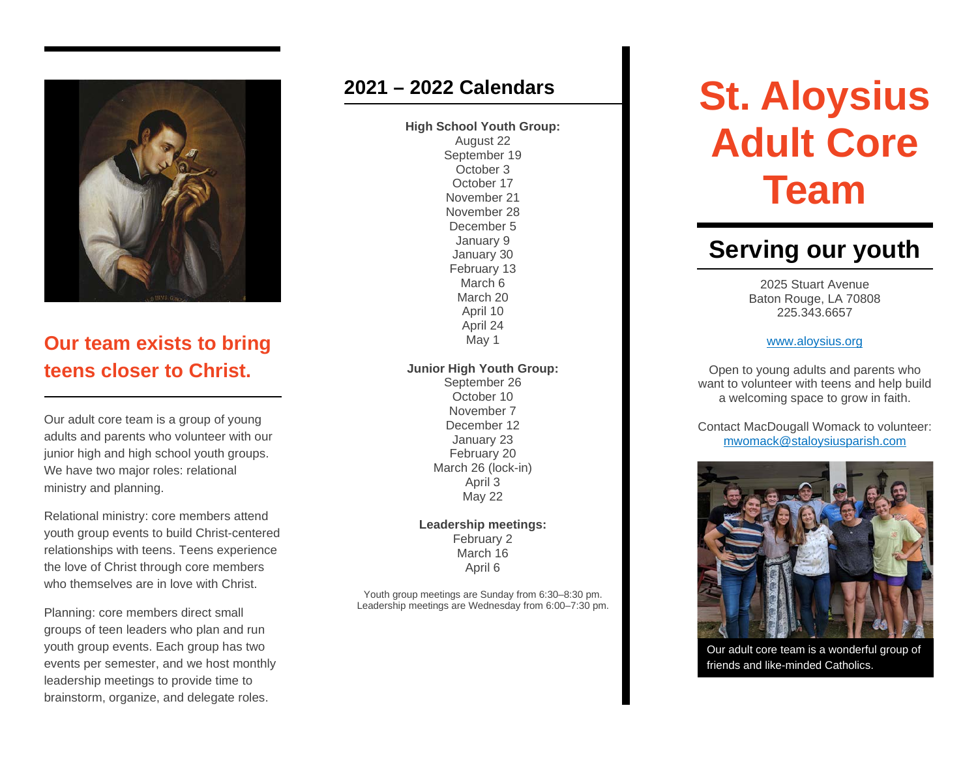

## **Our team exists to bring teens closer to Christ.**

Our adult core team is a group of young adults and parents who volunteer with our junior high and high school youth groups. We have two major roles: relational ministry and planning.

Relational ministry: core members attend youth group events to build Christ-centered relationships with teens. Teens experience the love of Christ through core members who themselves are in love with Christ.

Planning: core members direct small groups of teen leaders who plan and run youth group events. Each group has two events per semester, and we host monthly leadership meetings to provide time to brainstorm, organize, and delegate roles.

#### **2021 – 2022 Calendars**

**High School Youth Group:**

August 22 September 19 October 3 October 17 November 21 November 28 December 5 January 9 January 30 February 13 March 6 March 20 April 10 April 24 May 1

#### **Junior High Youth Group:**

September 26 October 10 November 7 December 12 January 23 February 20 March 26 (lock-in) April 3 May 22

**Leadership meetings:** February 2 March 16 April 6

Youth group meetings are Sunday from 6:30–8:30 pm. Leadership meetings are Wednesday from 6:00–7:30 pm.

# **St. Aloysius Adult Core Team**

# **Serving our youth**

2025 Stuart Avenue Baton Rouge, LA 70808 225.343.6657

#### [www.aloysius.org](http://www.aloysius.org/)

Open to young adults and parents who want to volunteer with teens and help build a welcoming space to grow in faith.

Contact MacDougall Womack to volunteer: [mwomack@staloysiusparish.com](mailto:mwomack@staloysiusparish.com)



Our adult core team is a wonderful group of friends and like-minded Catholics.